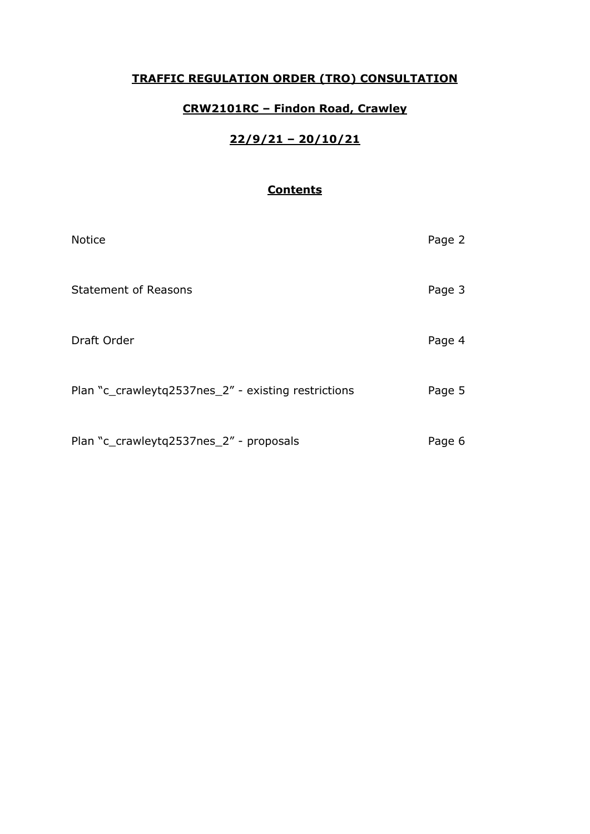## **TRAFFIC REGULATION ORDER (TRO) CONSULTATION**

## **CRW2101RC – Findon Road, Crawley**

## **22/9/21 – 20/10/21**

## **Contents**

| <b>Notice</b>                                       | Page 2 |
|-----------------------------------------------------|--------|
| <b>Statement of Reasons</b>                         | Page 3 |
| Draft Order                                         | Page 4 |
| Plan "c_crawleytq2537nes_2" - existing restrictions | Page 5 |
| Plan "c_crawleytq2537nes_2" - proposals             | Page 6 |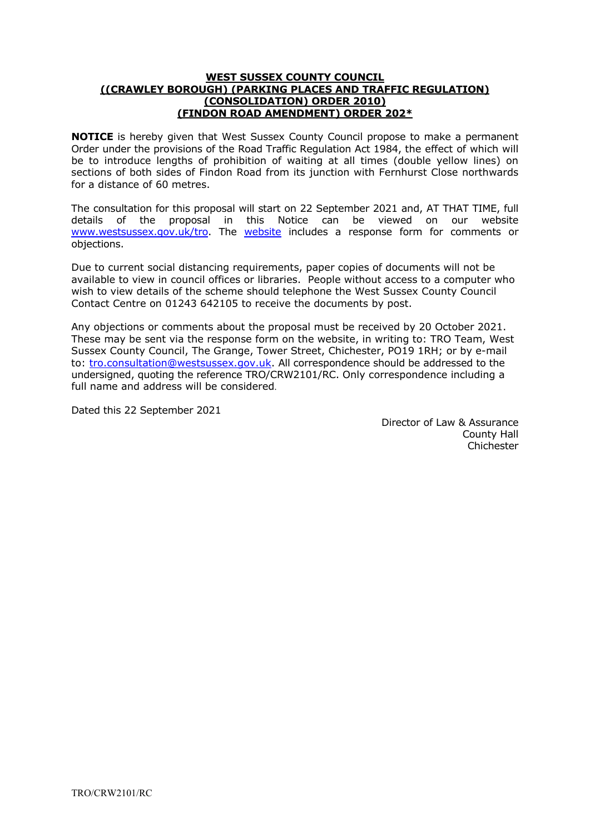#### **WEST SUSSEX COUNTY COUNCIL ((CRAWLEY BOROUGH) (PARKING PLACES AND TRAFFIC REGULATION) (CONSOLIDATION) ORDER 2010) (FINDON ROAD AMENDMENT) ORDER 202\***

**NOTICE** is hereby given that West Sussex County Council propose to make a permanent Order under the provisions of the Road Traffic Regulation Act 1984, the effect of which will be to introduce lengths of prohibition of waiting at all times (double yellow lines) on sections of both sides of Findon Road from its junction with Fernhurst Close northwards for a distance of 60 metres.

The consultation for this proposal will start on 22 September 2021 and, AT THAT TIME, full details of the proposal in this Notice can be viewed on our website [www.westsussex.gov.uk/tro.](http://www.westsussex.gov.uk/tro) The [website](https://www.westsussex.gov.uk/roads-and-travel/traffic-regulation-orders/) includes a response form for comments or objections.

Due to current social distancing requirements, paper copies of documents will not be available to view in council offices or libraries. People without access to a computer who wish to view details of the scheme should telephone the West Sussex County Council Contact Centre on 01243 642105 to receive the documents by post.

Any objections or comments about the proposal must be received by 20 October 2021. These may be sent via the response form on the website, in writing to: TRO Team, West Sussex County Council, The Grange, Tower Street, Chichester, PO19 1RH; or by e-mail to: [tro.consultation@westsussex.gov.uk.](mailto:tro.consultation@westsussex.gov.uk) All correspondence should be addressed to the undersigned, quoting the reference TRO/CRW2101/RC. Only correspondence including a full name and address will be considered.

Dated this 22 September 2021

 Director of Law & Assurance County Hall **Chichester**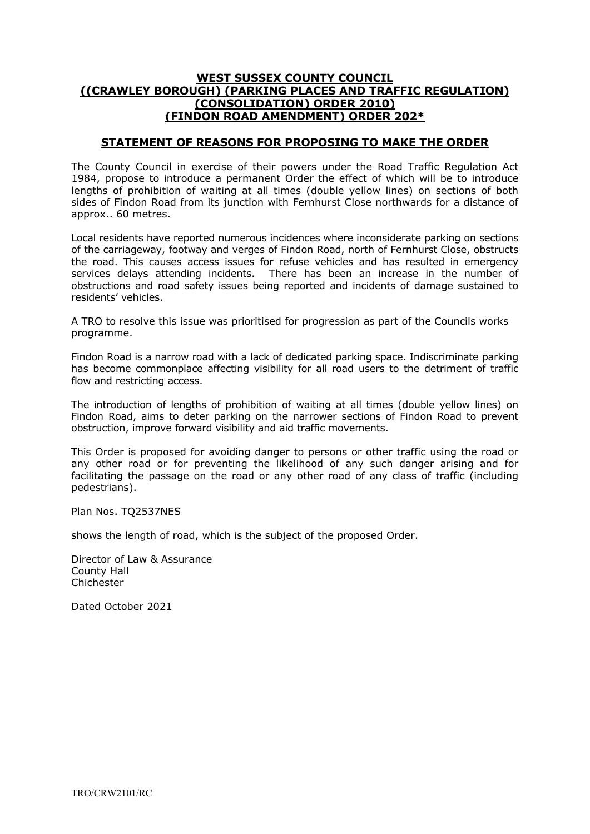### **WEST SUSSEX COUNTY COUNCIL ((CRAWLEY BOROUGH) (PARKING PLACES AND TRAFFIC REGULATION) (CONSOLIDATION) ORDER 2010) (FINDON ROAD AMENDMENT) ORDER 202\***

### **STATEMENT OF REASONS FOR PROPOSING TO MAKE THE ORDER**

The County Council in exercise of their powers under the Road Traffic Regulation Act 1984, propose to introduce a permanent Order the effect of which will be to introduce lengths of prohibition of waiting at all times (double yellow lines) on sections of both sides of Findon Road from its junction with Fernhurst Close northwards for a distance of approx.. 60 metres.

Local residents have reported numerous incidences where inconsiderate parking on sections of the carriageway, footway and verges of Findon Road, north of Fernhurst Close, obstructs the road. This causes access issues for refuse vehicles and has resulted in emergency services delays attending incidents. There has been an increase in the number of obstructions and road safety issues being reported and incidents of damage sustained to residents' vehicles.

A TRO to resolve this issue was prioritised for progression as part of the Councils works programme.

Findon Road is a narrow road with a lack of dedicated parking space. Indiscriminate parking has become commonplace affecting visibility for all road users to the detriment of traffic flow and restricting access.

The introduction of lengths of prohibition of waiting at all times (double yellow lines) on Findon Road, aims to deter parking on the narrower sections of Findon Road to prevent obstruction, improve forward visibility and aid traffic movements.

This Order is proposed for avoiding danger to persons or other traffic using the road or any other road or for preventing the likelihood of any such danger arising and for facilitating the passage on the road or any other road of any class of traffic (including pedestrians).

Plan Nos. TQ2537NES

shows the length of road, which is the subject of the proposed Order.

Director of Law & Assurance County Hall Chichester

Dated October 2021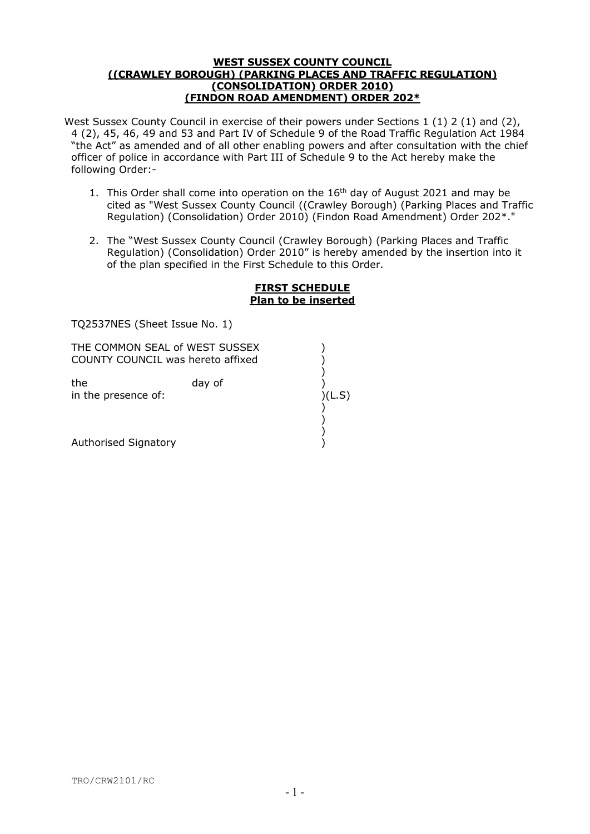#### **WEST SUSSEX COUNTY COUNCIL ((CRAWLEY BOROUGH) (PARKING PLACES AND TRAFFIC REGULATION) (CONSOLIDATION) ORDER 2010) (FINDON ROAD AMENDMENT) ORDER 202\***

West Sussex County Council in exercise of their powers under Sections 1 (1) 2 (1) and (2), 4 (2), 45, 46, 49 and 53 and Part IV of Schedule 9 of the Road Traffic Regulation Act 1984 "the Act" as amended and of all other enabling powers and after consultation with the chief officer of police in accordance with Part III of Schedule 9 to the Act hereby make the following Order:-

- 1. This Order shall come into operation on the 16<sup>th</sup> day of August 2021 and may be cited as "West Sussex County Council ((Crawley Borough) (Parking Places and Traffic Regulation) (Consolidation) Order 2010) (Findon Road Amendment) Order 202\*."
- 2. The "West Sussex County Council (Crawley Borough) (Parking Places and Traffic Regulation) (Consolidation) Order 2010" is hereby amended by the insertion into it of the plan specified in the First Schedule to this Order.

#### **FIRST SCHEDULE Plan to be inserted**

TQ2537NES (Sheet Issue No. 1)

COUNTY COUNCIL was hereto affixed (1) THE COMMON SEAL of WEST SUSSEX  $\vert$ 

 ) )

in the presence of: )(L.S) ) the day of

Authorised Signatory ) )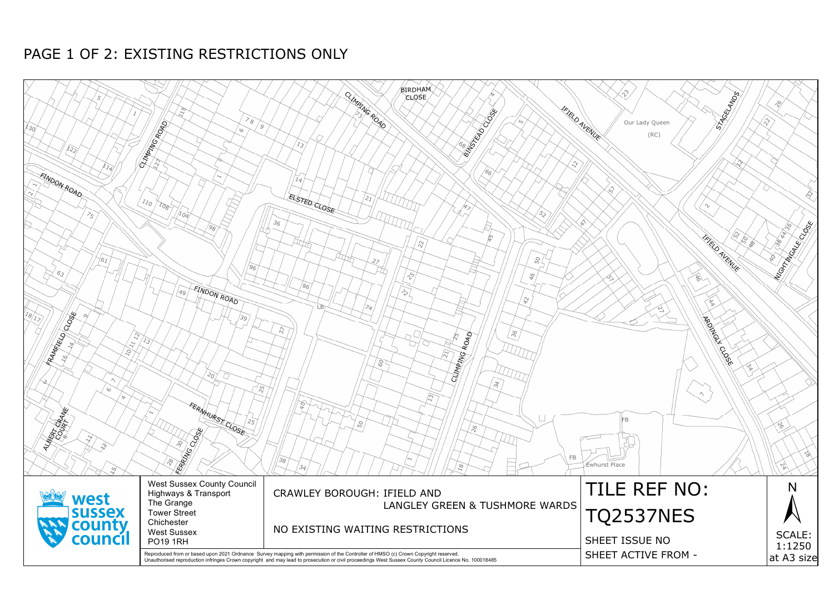

# PAGE 1 OF 2: EXISTING RESTRICTIONS ONLY